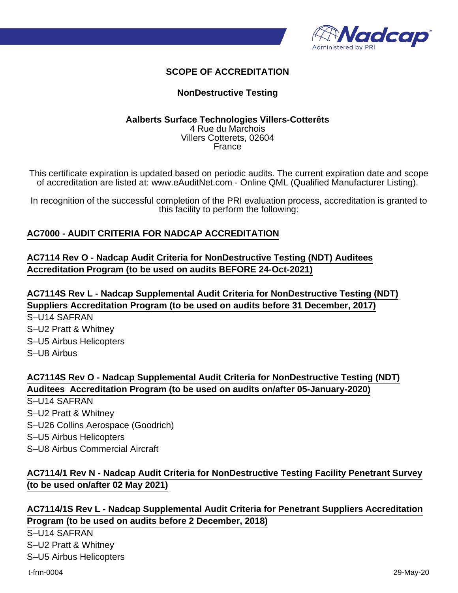

## **SCOPE OF ACCREDITATION**

### **NonDestructive Testing**

#### **Aalberts Surface Technologies Villers-Cotterêts** 4 Rue du Marchois Villers Cotterets, 02604 France

This certificate expiration is updated based on periodic audits. The current expiration date and scope of accreditation are listed at: www.eAuditNet.com - Online QML (Qualified Manufacturer Listing).

In recognition of the successful completion of the PRI evaluation process, accreditation is granted to this facility to perform the following:

### **AC7000 - AUDIT CRITERIA FOR NADCAP ACCREDITATION**

## **AC7114 Rev O - Nadcap Audit Criteria for NonDestructive Testing (NDT) Auditees Accreditation Program (to be used on audits BEFORE 24-Oct-2021)**

**AC7114S Rev L - Nadcap Supplemental Audit Criteria for NonDestructive Testing (NDT) Suppliers Accreditation Program (to be used on audits before 31 December, 2017)** S–U14 SAFRAN

S–U2 Pratt & Whitney S–U5 Airbus Helicopters

S–U8 Airbus

# **AC7114S Rev O - Nadcap Supplemental Audit Criteria for NonDestructive Testing (NDT) Auditees Accreditation Program (to be used on audits on/after 05-January-2020)**

- S–U14 SAFRAN S–U2 Pratt & Whitney
- S–U26 Collins Aerospace (Goodrich)
- S–U5 Airbus Helicopters
- S–U8 Airbus Commercial Aircraft

# **AC7114/1 Rev N - Nadcap Audit Criteria for NonDestructive Testing Facility Penetrant Survey (to be used on/after 02 May 2021)**

## **AC7114/1S Rev L - Nadcap Supplemental Audit Criteria for Penetrant Suppliers Accreditation Program (to be used on audits before 2 December, 2018)**

S–U14 SAFRAN S–U2 Pratt & Whitney

S–U5 Airbus Helicopters